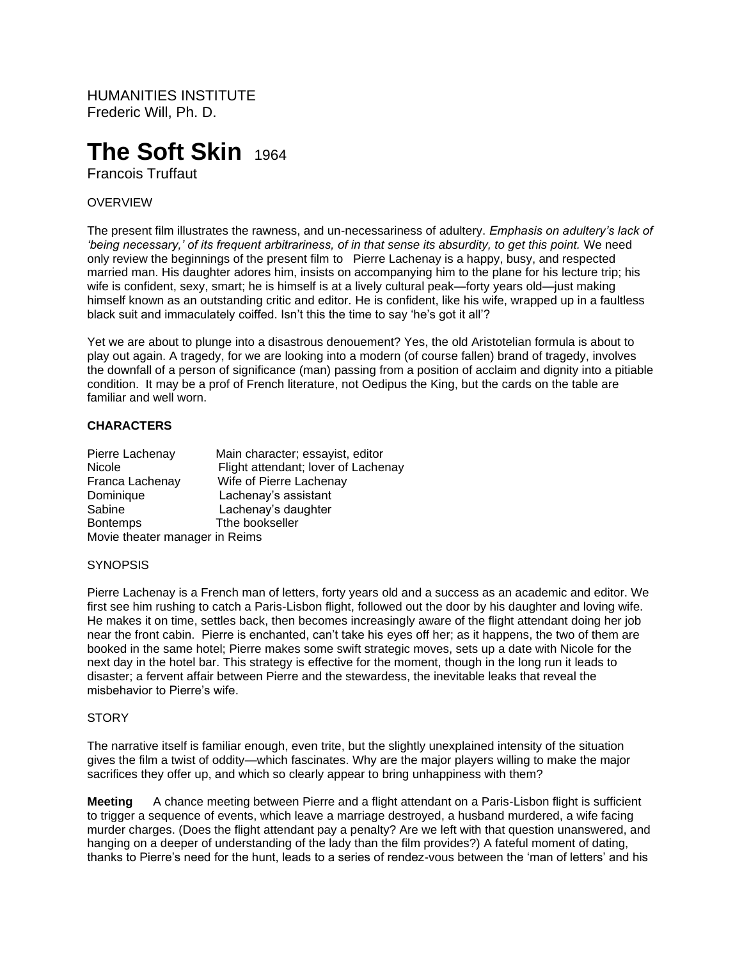HUMANITIES INSTITUTE Frederic Will, Ph. D.

# **The Soft Skin** 1964

Francois Truffaut

# OVERVIEW

The present film illustrates the rawness, and un-necessariness of adultery. *Emphasis on adultery's lack of 'being necessary,' of its frequent arbitrariness, of in that sense its absurdity, to get this point.* We need only review the beginnings of the present film to Pierre Lachenay is a happy, busy, and respected married man. His daughter adores him, insists on accompanying him to the plane for his lecture trip; his wife is confident, sexy, smart; he is himself is at a lively cultural peak—forty years old—just making himself known as an outstanding critic and editor. He is confident, like his wife, wrapped up in a faultless black suit and immaculately coiffed. Isn't this the time to say 'he's got it all'?

Yet we are about to plunge into a disastrous denouement? Yes, the old Aristotelian formula is about to play out again. A tragedy, for we are looking into a modern (of course fallen) brand of tragedy, involves the downfall of a person of significance (man) passing from a position of acclaim and dignity into a pitiable condition. It may be a prof of French literature, not Oedipus the King, but the cards on the table are familiar and well worn.

# **CHARACTERS**

| Pierre Lachenay                | Main character; essayist, editor    |
|--------------------------------|-------------------------------------|
| <b>Nicole</b>                  | Flight attendant; lover of Lachenay |
| Franca Lachenay                | Wife of Pierre Lachenay             |
| Dominique                      | Lachenay's assistant                |
| Sabine                         | Lachenay's daughter                 |
| <b>Bontemps</b>                | Tthe bookseller                     |
| Movie theater manager in Reims |                                     |

### **SYNOPSIS**

Pierre Lachenay is a French man of letters, forty years old and a success as an academic and editor. We first see him rushing to catch a Paris-Lisbon flight, followed out the door by his daughter and loving wife. He makes it on time, settles back, then becomes increasingly aware of the flight attendant doing her job near the front cabin. Pierre is enchanted, can't take his eyes off her; as it happens, the two of them are booked in the same hotel; Pierre makes some swift strategic moves, sets up a date with Nicole for the next day in the hotel bar. This strategy is effective for the moment, though in the long run it leads to disaster; a fervent affair between Pierre and the stewardess, the inevitable leaks that reveal the misbehavior to Pierre's wife.

#### **STORY**

The narrative itself is familiar enough, even trite, but the slightly unexplained intensity of the situation gives the film a twist of oddity—which fascinates. Why are the major players willing to make the major sacrifices they offer up, and which so clearly appear to bring unhappiness with them?

**Meeting** A chance meeting between Pierre and a flight attendant on a Paris-Lisbon flight is sufficient to trigger a sequence of events, which leave a marriage destroyed, a husband murdered, a wife facing murder charges. (Does the flight attendant pay a penalty? Are we left with that question unanswered, and hanging on a deeper of understanding of the lady than the film provides?) A fateful moment of dating, thanks to Pierre's need for the hunt, leads to a series of rendez-vous between the 'man of letters' and his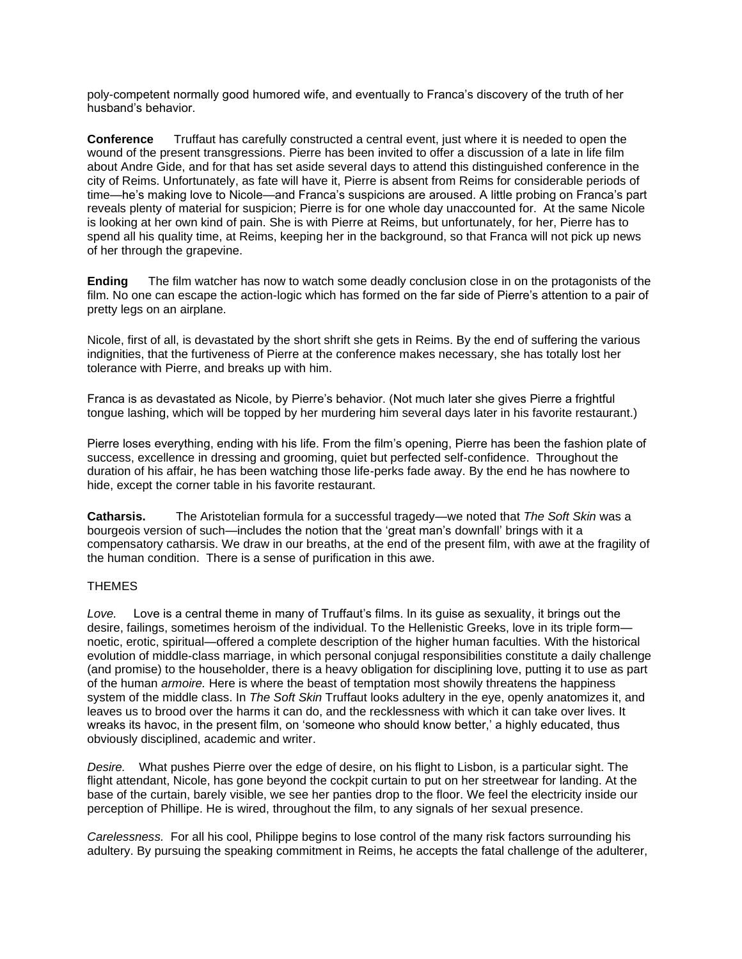poly-competent normally good humored wife, and eventually to Franca's discovery of the truth of her husband's behavior.

**Conference** Truffaut has carefully constructed a central event, just where it is needed to open the wound of the present transgressions. Pierre has been invited to offer a discussion of a late in life film about Andre Gide, and for that has set aside several days to attend this distinguished conference in the city of Reims. Unfortunately, as fate will have it, Pierre is absent from Reims for considerable periods of time—he's making love to Nicole—and Franca's suspicions are aroused. A little probing on Franca's part reveals plenty of material for suspicion; Pierre is for one whole day unaccounted for. At the same Nicole is looking at her own kind of pain. She is with Pierre at Reims, but unfortunately, for her, Pierre has to spend all his quality time, at Reims, keeping her in the background, so that Franca will not pick up news of her through the grapevine.

**Ending** The film watcher has now to watch some deadly conclusion close in on the protagonists of the film. No one can escape the action-logic which has formed on the far side of Pierre's attention to a pair of pretty legs on an airplane.

Nicole, first of all, is devastated by the short shrift she gets in Reims. By the end of suffering the various indignities, that the furtiveness of Pierre at the conference makes necessary, she has totally lost her tolerance with Pierre, and breaks up with him.

Franca is as devastated as Nicole, by Pierre's behavior. (Not much later she gives Pierre a frightful tongue lashing, which will be topped by her murdering him several days later in his favorite restaurant.)

Pierre loses everything, ending with his life. From the film's opening, Pierre has been the fashion plate of success, excellence in dressing and grooming, quiet but perfected self-confidence. Throughout the duration of his affair, he has been watching those life-perks fade away. By the end he has nowhere to hide, except the corner table in his favorite restaurant.

**Catharsis.** The Aristotelian formula for a successful tragedy—we noted that *The Soft Skin* was a bourgeois version of such—includes the notion that the 'great man's downfall' brings with it a compensatory catharsis. We draw in our breaths, at the end of the present film, with awe at the fragility of the human condition. There is a sense of purification in this awe.

## THEMES

*Love.* Love is a central theme in many of Truffaut's films. In its guise as sexuality, it brings out the desire, failings, sometimes heroism of the individual. To the Hellenistic Greeks, love in its triple form noetic, erotic, spiritual—offered a complete description of the higher human faculties. With the historical evolution of middle-class marriage, in which personal conjugal responsibilities constitute a daily challenge (and promise) to the householder, there is a heavy obligation for disciplining love, putting it to use as part of the human *armoire.* Here is where the beast of temptation most showily threatens the happiness system of the middle class. In *The Soft Skin* Truffaut looks adultery in the eye, openly anatomizes it, and leaves us to brood over the harms it can do, and the recklessness with which it can take over lives. It wreaks its havoc, in the present film, on 'someone who should know better,' a highly educated, thus obviously disciplined, academic and writer.

*Desire.* What pushes Pierre over the edge of desire, on his flight to Lisbon, is a particular sight. The flight attendant, Nicole, has gone beyond the cockpit curtain to put on her streetwear for landing. At the base of the curtain, barely visible, we see her panties drop to the floor. We feel the electricity inside our perception of Phillipe. He is wired, throughout the film, to any signals of her sexual presence.

*Carelessness.* For all his cool, Philippe begins to lose control of the many risk factors surrounding his adultery. By pursuing the speaking commitment in Reims, he accepts the fatal challenge of the adulterer,